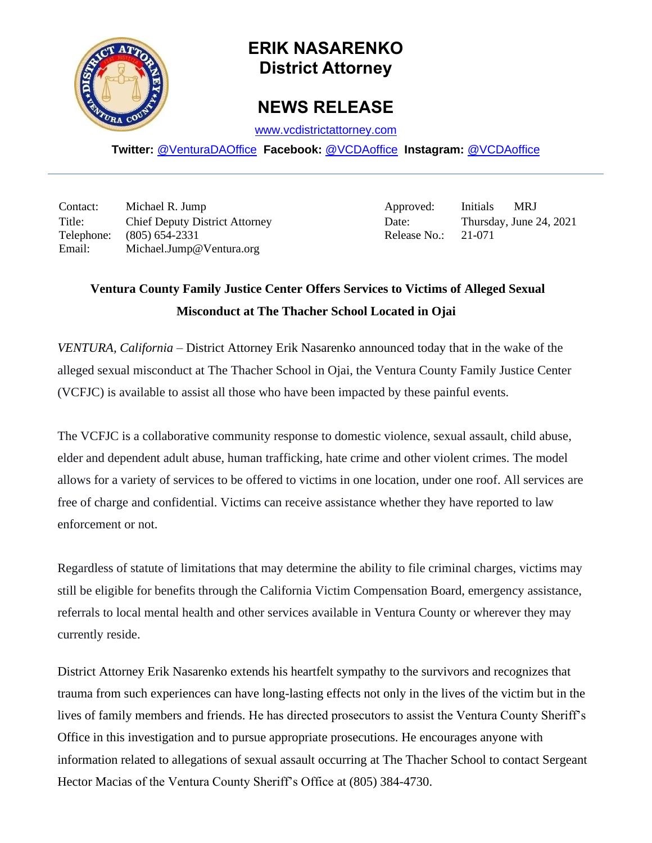

## **ERIK NASARENKO District Attorney**

## **NEWS RELEASE**

[www.vcdistrictattorney.com](http://www.vcdistrictattorney.com/)

**Twitter:** [@VenturaDAOffice](https://twitter.com/venturadaoffice) **Facebook:** [@VCDAoffice](https://facebook.com/VCDAoffice) **Instagram:** [@VCDAoffice](https://instagram.com/VCDAoffice)

Contact: Michael R. Jump Approved: Initials MRJ Title: Chief Deputy District Attorney Date: Date: Thursday, June 24, 2021 Telephone: (805) 654-2331 Release No.: 21-071 Email: Michael.Jump@Ventura.org

## **Ventura County Family Justice Center Offers Services to Victims of Alleged Sexual Misconduct at The Thacher School Located in Ojai**

*VENTURA, California* – District Attorney Erik Nasarenko announced today that in the wake of the alleged sexual misconduct at The Thacher School in Ojai, the Ventura County Family Justice Center (VCFJC) is available to assist all those who have been impacted by these painful events.

The VCFJC is a collaborative community response to domestic violence, sexual assault, child abuse, elder and dependent adult abuse, human trafficking, hate crime and other violent crimes. The model allows for a variety of services to be offered to victims in one location, under one roof. All services are free of charge and confidential. Victims can receive assistance whether they have reported to law enforcement or not.

Regardless of statute of limitations that may determine the ability to file criminal charges, victims may still be eligible for benefits through the California Victim Compensation Board, emergency assistance, referrals to local mental health and other services available in Ventura County or wherever they may currently reside.

District Attorney Erik Nasarenko extends his heartfelt sympathy to the survivors and recognizes that trauma from such experiences can have long-lasting effects not only in the lives of the victim but in the lives of family members and friends. He has directed prosecutors to assist the Ventura County Sheriff's Office in this investigation and to pursue appropriate prosecutions. He encourages anyone with information related to allegations of sexual assault occurring at The Thacher School to contact Sergeant Hector Macias of the Ventura County Sheriff's Office at (805) 384-4730.